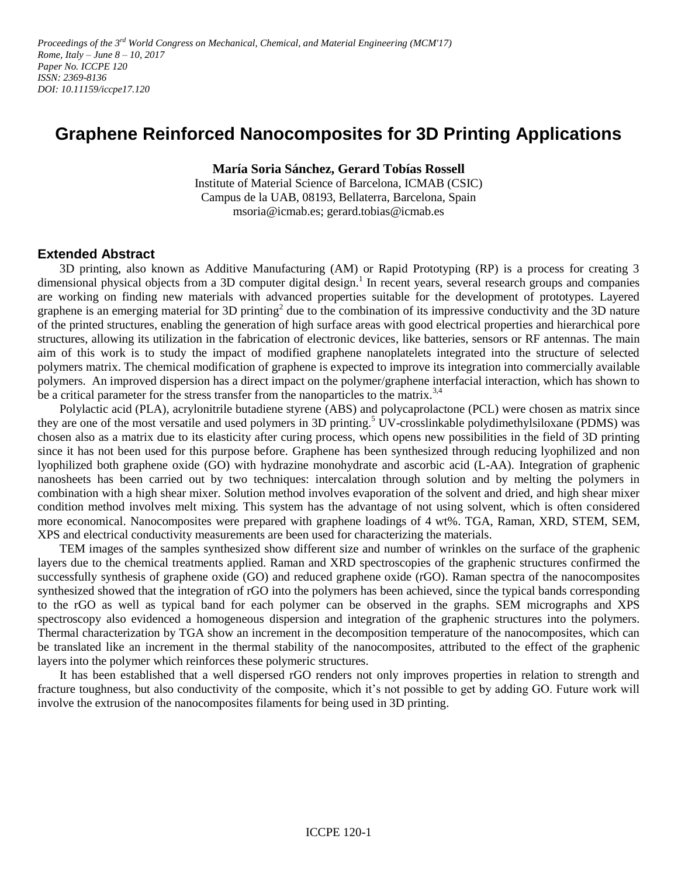Proceedings of the 3<sup>rd</sup> World Congress on Mechanical, Chemical, and Material Engineering (MCM'17) *Rome, Italy – June 8 – 10, 2017 Paper No. ICCPE 120 ISSN: 2369-8136 DOI: 10.11159/iccpe17.120*

## **Graphene Reinforced Nanocomposites for 3D Printing Applications**

**María Soria Sánchez, Gerard Tobías Rossell**

Institute of Material Science of Barcelona, ICMAB (CSIC) Campus de la UAB, 08193, Bellaterra, Barcelona, Spain msoria@icmab.es; gerard.tobias@icmab.es

## **Extended Abstract**

3D printing, also known as Additive Manufacturing (AM) or Rapid Prototyping (RP) is a process for creating 3 dimensional physical objects from a 3D computer digital design.<sup>1</sup> In recent years, several research groups and companies are working on finding new materials with advanced properties suitable for the development of prototypes. Layered graphene is an emerging material for 3D printing<sup>2</sup> due to the combination of its impressive conductivity and the 3D nature of the printed structures, enabling the generation of high surface areas with good electrical properties and hierarchical pore structures, allowing its utilization in the fabrication of electronic devices, like batteries, sensors or RF antennas. The main aim of this work is to study the impact of modified graphene nanoplatelets integrated into the structure of selected polymers matrix. The chemical modification of graphene is expected to improve its integration into commercially available polymers. An improved dispersion has a direct impact on the polymer/graphene interfacial interaction, which has shown to be a critical parameter for the stress transfer from the nanoparticles to the matrix.<sup>3,4</sup>

Polylactic acid (PLA), acrylonitrile butadiene styrene (ABS) and polycaprolactone (PCL) were chosen as matrix since they are one of the most versatile and used polymers in 3D printing.<sup>5</sup> UV-crosslinkable polydimethylsiloxane (PDMS) was chosen also as a matrix due to its elasticity after curing process, which opens new possibilities in the field of 3D printing since it has not been used for this purpose before. Graphene has been synthesized through reducing lyophilized and non lyophilized both graphene oxide (GO) with hydrazine monohydrate and ascorbic acid (L-AA). Integration of graphenic nanosheets has been carried out by two techniques: intercalation through solution and by melting the polymers in combination with a high shear mixer. Solution method involves evaporation of the solvent and dried, and high shear mixer condition method involves melt mixing. This system has the advantage of not using solvent, which is often considered more economical. Nanocomposites were prepared with graphene loadings of 4 wt%. TGA, Raman, XRD, STEM, SEM, XPS and electrical conductivity measurements are been used for characterizing the materials.

TEM images of the samples synthesized show different size and number of wrinkles on the surface of the graphenic layers due to the chemical treatments applied. Raman and XRD spectroscopies of the graphenic structures confirmed the successfully synthesis of graphene oxide (GO) and reduced graphene oxide (rGO). Raman spectra of the nanocomposites synthesized showed that the integration of rGO into the polymers has been achieved, since the typical bands corresponding to the rGO as well as typical band for each polymer can be observed in the graphs. SEM micrographs and XPS spectroscopy also evidenced a homogeneous dispersion and integration of the graphenic structures into the polymers. Thermal characterization by TGA show an increment in the decomposition temperature of the nanocomposites, which can be translated like an increment in the thermal stability of the nanocomposites, attributed to the effect of the graphenic layers into the polymer which reinforces these polymeric structures.

It has been established that a well dispersed rGO renders not only improves properties in relation to strength and fracture toughness, but also conductivity of the composite, which it's not possible to get by adding GO. Future work will involve the extrusion of the nanocomposites filaments for being used in 3D printing.